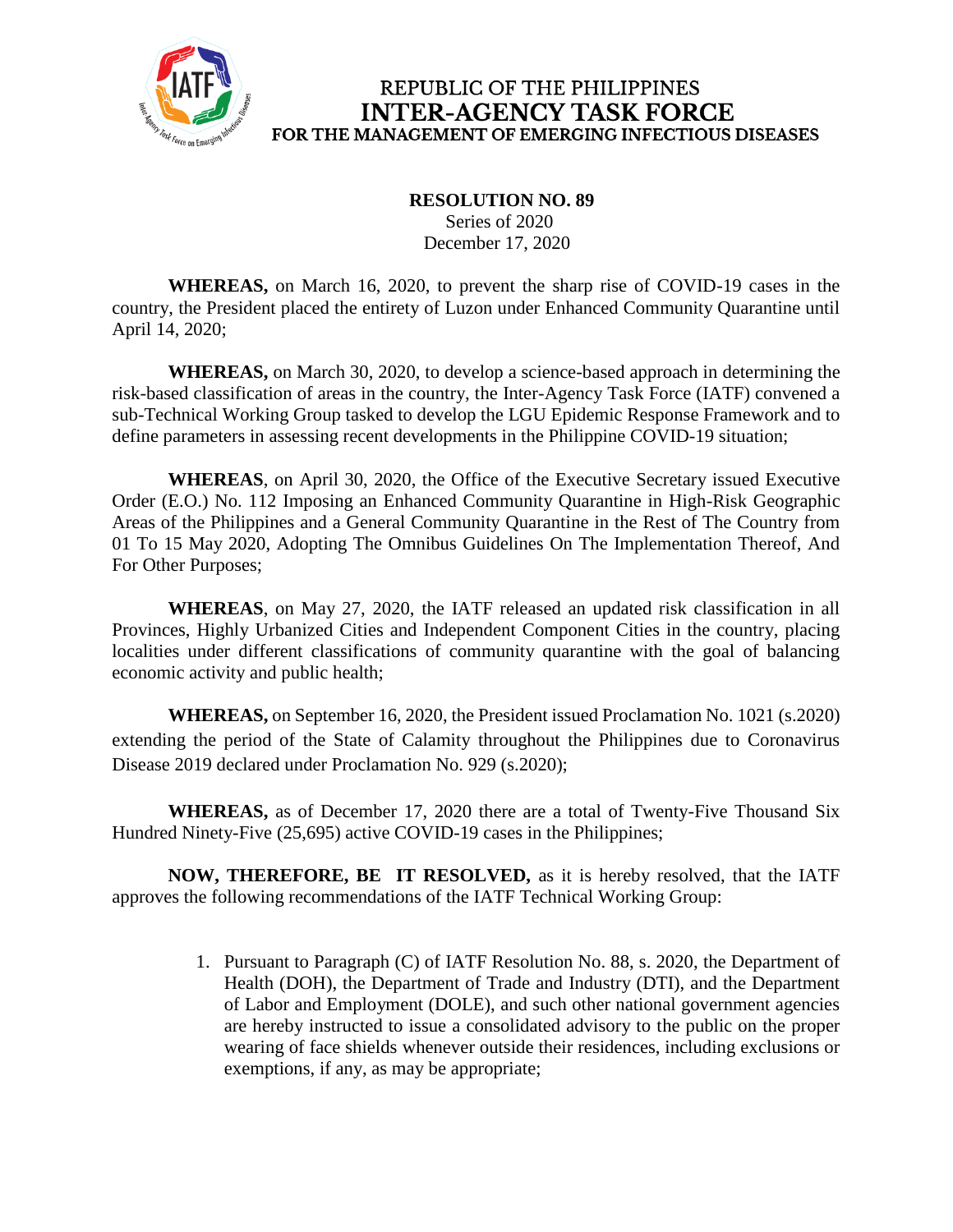

## REPUBLIC OF THE PHILIPPINES **INTER-AGENCY TASK FORCE** FOR THE MANAGEMENT OF EMERGING INFECTIOUS DISEASES

## **RESOLUTION NO. 89** Series of 2020 December 17, 2020

**WHEREAS,** on March 16, 2020, to prevent the sharp rise of COVID-19 cases in the country, the President placed the entirety of Luzon under Enhanced Community Quarantine until April 14, 2020;

**WHEREAS,** on March 30, 2020, to develop a science-based approach in determining the risk-based classification of areas in the country, the Inter-Agency Task Force (IATF) convened a sub-Technical Working Group tasked to develop the LGU Epidemic Response Framework and to define parameters in assessing recent developments in the Philippine COVID-19 situation;

**WHEREAS**, on April 30, 2020, the Office of the Executive Secretary issued Executive Order (E.O.) No. 112 Imposing an Enhanced Community Quarantine in High-Risk Geographic Areas of the Philippines and a General Community Quarantine in the Rest of The Country from 01 To 15 May 2020, Adopting The Omnibus Guidelines On The Implementation Thereof, And For Other Purposes;

**WHEREAS**, on May 27, 2020, the IATF released an updated risk classification in all Provinces, Highly Urbanized Cities and Independent Component Cities in the country, placing localities under different classifications of community quarantine with the goal of balancing economic activity and public health;

**WHEREAS,** on September 16, 2020, the President issued Proclamation No. 1021 (s.2020) extending the period of the State of Calamity throughout the Philippines due to Coronavirus Disease 2019 declared under Proclamation No. 929 (s.2020);

**WHEREAS,** as of December 17, 2020 there are a total of Twenty-Five Thousand Six Hundred Ninety-Five (25,695) active COVID-19 cases in the Philippines;

**NOW, THEREFORE, BE IT RESOLVED,** as it is hereby resolved, that the IATF approves the following recommendations of the IATF Technical Working Group:

> 1. Pursuant to Paragraph (C) of IATF Resolution No. 88, s. 2020, the Department of Health (DOH), the Department of Trade and Industry (DTI), and the Department of Labor and Employment (DOLE), and such other national government agencies are hereby instructed to issue a consolidated advisory to the public on the proper wearing of face shields whenever outside their residences, including exclusions or exemptions, if any, as may be appropriate;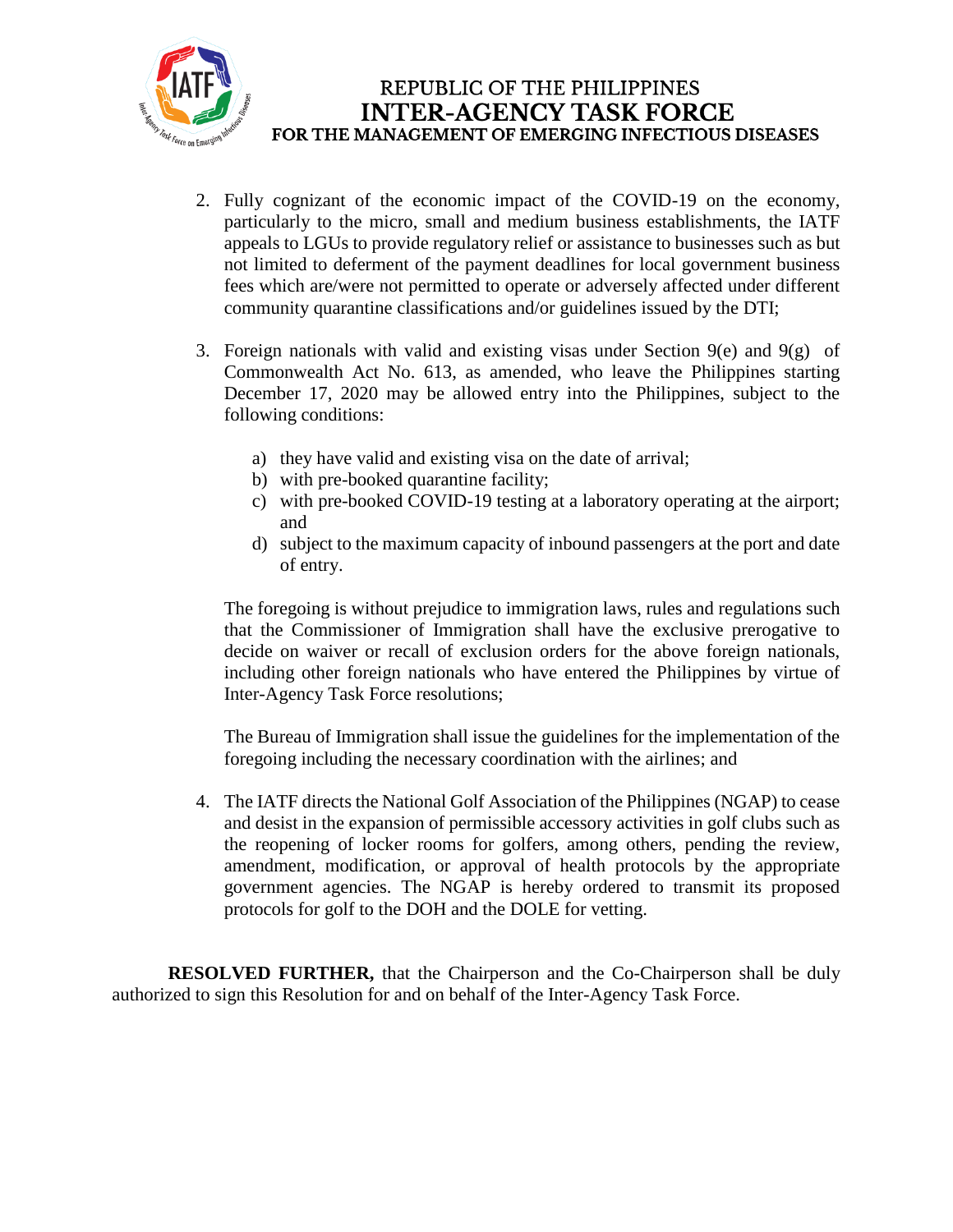

- 2. Fully cognizant of the economic impact of the COVID-19 on the economy, particularly to the micro, small and medium business establishments, the IATF appeals to LGUs to provide regulatory relief or assistance to businesses such as but not limited to deferment of the payment deadlines for local government business fees which are/were not permitted to operate or adversely affected under different community quarantine classifications and/or guidelines issued by the DTI;
- 3. Foreign nationals with valid and existing visas under Section  $9(e)$  and  $9(g)$  of Commonwealth Act No. 613, as amended, who leave the Philippines starting December 17, 2020 may be allowed entry into the Philippines, subject to the following conditions:
	- a) they have valid and existing visa on the date of arrival;
	- b) with pre-booked quarantine facility;
	- c) with pre-booked COVID-19 testing at a laboratory operating at the airport; and
	- d) subject to the maximum capacity of inbound passengers at the port and date of entry.

The foregoing is without prejudice to immigration laws, rules and regulations such that the Commissioner of Immigration shall have the exclusive prerogative to decide on waiver or recall of exclusion orders for the above foreign nationals, including other foreign nationals who have entered the Philippines by virtue of Inter-Agency Task Force resolutions;

The Bureau of Immigration shall issue the guidelines for the implementation of the foregoing including the necessary coordination with the airlines; and

4. The IATF directs the National Golf Association of the Philippines (NGAP) to cease and desist in the expansion of permissible accessory activities in golf clubs such as the reopening of locker rooms for golfers, among others, pending the review, amendment, modification, or approval of health protocols by the appropriate government agencies. The NGAP is hereby ordered to transmit its proposed protocols for golf to the DOH and the DOLE for vetting.

**RESOLVED FURTHER,** that the Chairperson and the Co-Chairperson shall be duly authorized to sign this Resolution for and on behalf of the Inter-Agency Task Force.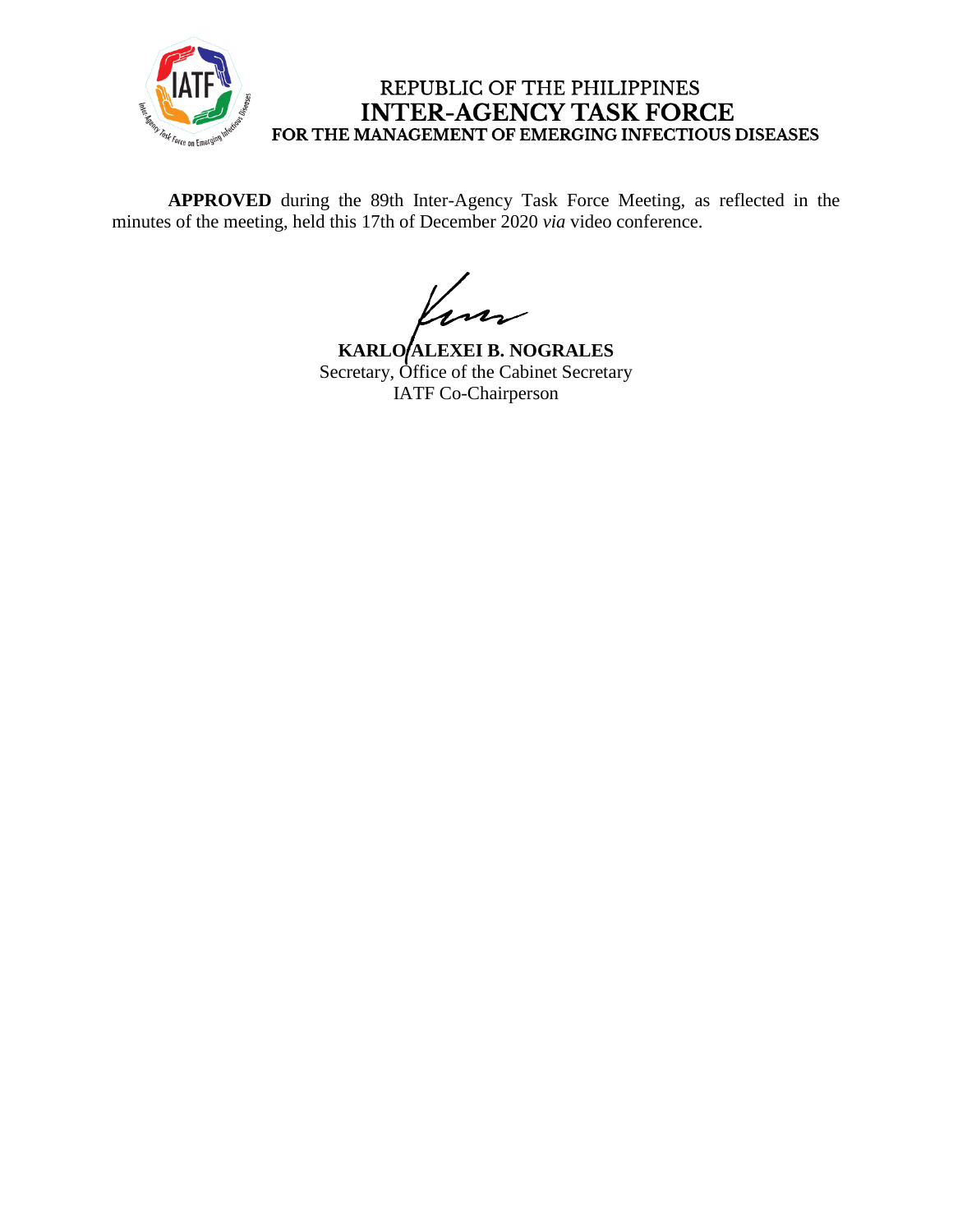

## REPUBLIC OF THE PHILIPPINES **INTER-AGENCY TASK FORCE** FOR THE MANAGEMENT OF EMERGING INFECTIOUS DISEASES

**APPROVED** during the 89th Inter-Agency Task Force Meeting, as reflected in the minutes of the meeting, held this 17th of December 2020 *via* video conference.

Kun

**KARLO ALEXEI B. NOGRALES** Secretary, Office of the Cabinet Secretary IATF Co-Chairperson